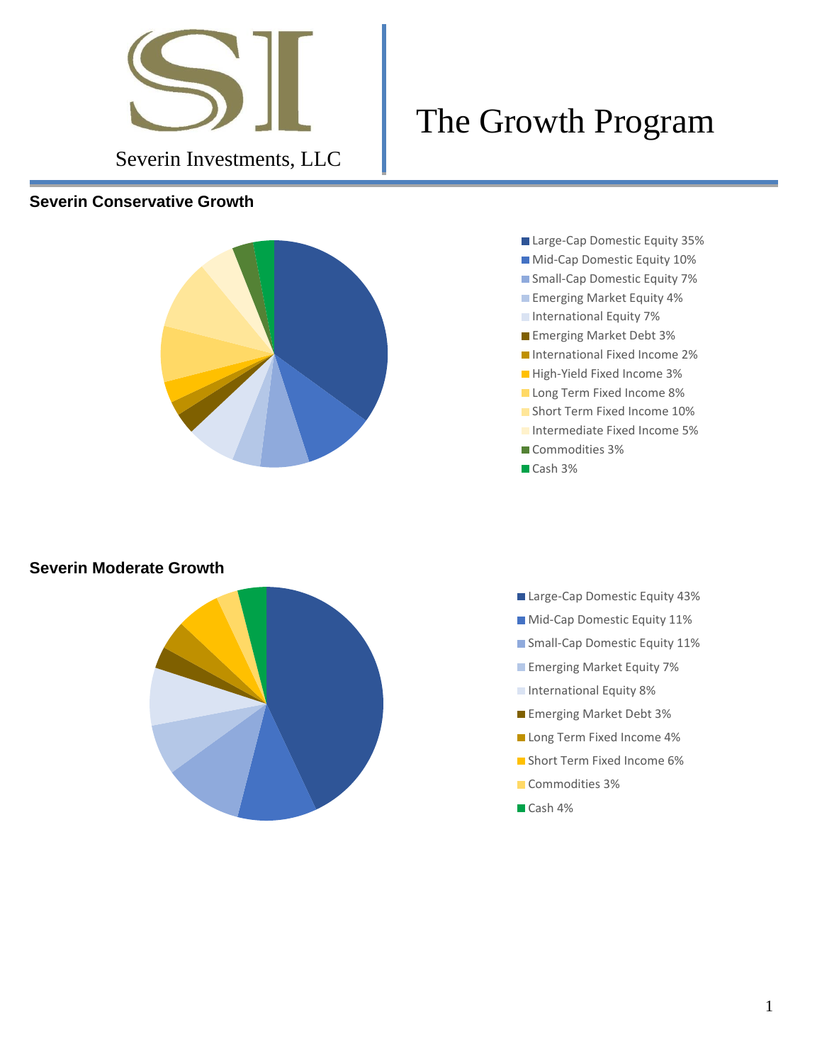

#### **Severin Conservative Growth**



- The Growth Program
	- Large-Cap Domestic Equity 35% **Mid-Cap Domestic Equity 10%** Small-Cap Domestic Equity 7% **Emerging Market Equity 4% International Equity 7% Emerging Market Debt 3%** ■ International Fixed Income 2% High-Yield Fixed Income 3% **Long Term Fixed Income 8% Short Term Fixed Income 10% Intermediate Fixed Income 5%** Commodities 3% Cash 3%

#### **Severin Moderate Growth**



- Large-Cap Domestic Equity 43%
- **Mid-Cap Domestic Equity 11%**
- Small-Cap Domestic Equity 11%
- **Emerging Market Equity 7%**
- **International Equity 8%**
- **Emerging Market Debt 3%**
- Long Term Fixed Income 4%
- **Short Term Fixed Income 6%**
- Commodities 3%
- Cash 4%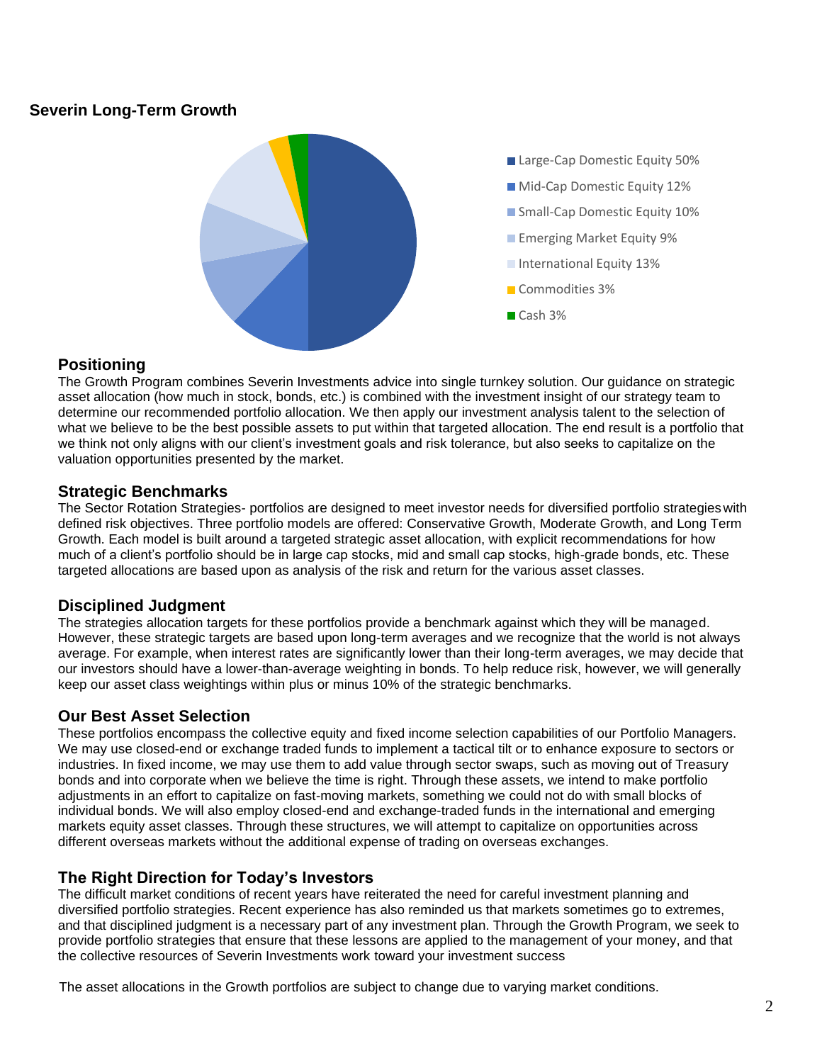# **Severin Long-Term Growth**



## **Positioning**

The Growth Program combines Severin Investments advice into single turnkey solution. Our guidance on strategic asset allocation (how much in stock, bonds, etc.) is combined with the investment insight of our strategy team to determine our recommended portfolio allocation. We then apply our investment analysis talent to the selection of what we believe to be the best possible assets to put within that targeted allocation. The end result is a portfolio that we think not only aligns with our client's investment goals and risk tolerance, but also seeks to capitalize on the valuation opportunities presented by the market.

## **Strategic Benchmarks**

The Sector Rotation Strategies- portfolios are designed to meet investor needs for diversified portfolio strategieswith defined risk objectives. Three portfolio models are offered: Conservative Growth, Moderate Growth, and Long Term Growth. Each model is built around a targeted strategic asset allocation, with explicit recommendations for how much of a client's portfolio should be in large cap stocks, mid and small cap stocks, high-grade bonds, etc. These targeted allocations are based upon as analysis of the risk and return for the various asset classes.

# **Disciplined Judgment**

The strategies allocation targets for these portfolios provide a benchmark against which they will be managed. However, these strategic targets are based upon long-term averages and we recognize that the world is not always average. For example, when interest rates are significantly lower than their long-term averages, we may decide that our investors should have a lower-than-average weighting in bonds. To help reduce risk, however, we will generally keep our asset class weightings within plus or minus 10% of the strategic benchmarks.

# **Our Best Asset Selection**

These portfolios encompass the collective equity and fixed income selection capabilities of our Portfolio Managers. We may use closed-end or exchange traded funds to implement a tactical tilt or to enhance exposure to sectors or industries. In fixed income, we may use them to add value through sector swaps, such as moving out of Treasury bonds and into corporate when we believe the time is right. Through these assets, we intend to make portfolio adjustments in an effort to capitalize on fast-moving markets, something we could not do with small blocks of individual bonds. We will also employ closed-end and exchange-traded funds in the international and emerging markets equity asset classes. Through these structures, we will attempt to capitalize on opportunities across different overseas markets without the additional expense of trading on overseas exchanges.

# **The Right Direction for Today's Investors**

The difficult market conditions of recent years have reiterated the need for careful investment planning and diversified portfolio strategies. Recent experience has also reminded us that markets sometimes go to extremes, and that disciplined judgment is a necessary part of any investment plan. Through the Growth Program, we seek to provide portfolio strategies that ensure that these lessons are applied to the management of your money, and that the collective resources of Severin Investments work toward your investment success

The asset allocations in the Growth portfolios are subject to change due to varying market conditions.